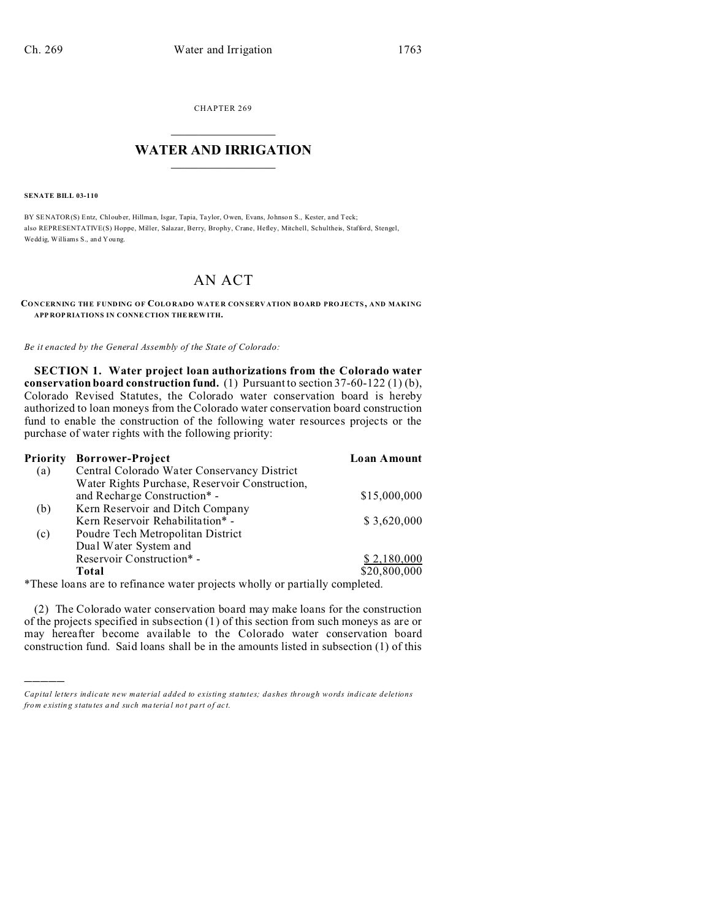CHAPTER 269  $\overline{\phantom{a}}$  , where  $\overline{\phantom{a}}$ 

## **WATER AND IRRIGATION**  $\_$   $\_$   $\_$   $\_$   $\_$   $\_$   $\_$   $\_$   $\_$

**SENATE BILL 03-110**

)))))

BY SENATOR(S) Entz, Chloub er, Hillman, Isgar, Tapia, Taylor, Owen, Evans, Johnso n S., Kester, and Teck; also REPRESENTATIVE(S) Hoppe, Miller, Salazar, Berry, Brophy, Crane, Hefley, Mitchell, Schultheis, Stafford, Stengel, Wedd ig, Williams S., and You ng.

## AN ACT

**CONCERNING THE FUNDING OF COLO RADO WATE R CON SERV ATION BOARD PRO JECTS, AND MAKING APP ROP RIATIONS IN CONNE CTION THE REW ITH.**

*Be it enacted by the General Assembly of the State of Colorado:*

**SECTION 1. Water project loan authorizations from the Colorado water conservation board construction fund.** (1) Pursuant to section 37-60-122 (1) (b), Colorado Revised Statutes, the Colorado water conservation board is hereby authorized to loan moneys from the Colorado water conservation board construction fund to enable the construction of the following water resources projects or the purchase of water rights with the following priority:

| Priority | <b>Borrower-Project</b>                        | Loan Amount  |
|----------|------------------------------------------------|--------------|
| (a)      | Central Colorado Water Conservancy District    |              |
|          | Water Rights Purchase, Reservoir Construction, |              |
|          | and Recharge Construction* -                   | \$15,000,000 |
| (b)      | Kern Reservoir and Ditch Company               |              |
|          | Kern Reservoir Rehabilitation* -               | \$3,620,000  |
| (c)      | Poudre Tech Metropolitan District              |              |
|          | Dual Water System and                          |              |
|          | Reservoir Construction*                        | \$2,180,000  |
|          | Total                                          | \$20,800,000 |
|          |                                                |              |

\*These loans are to refinance water projects wholly or partially completed.

(2) The Colorado water conservation board may make loans for the construction of the projects specified in subsection (1) of this section from such moneys as are or may hereafter become available to the Colorado water conservation board construction fund. Said loans shall be in the amounts listed in subsection (1) of this

*Capital letters indicate new material added to existing statutes; dashes through words indicate deletions from e xistin g statu tes a nd such ma teria l no t pa rt of ac t.*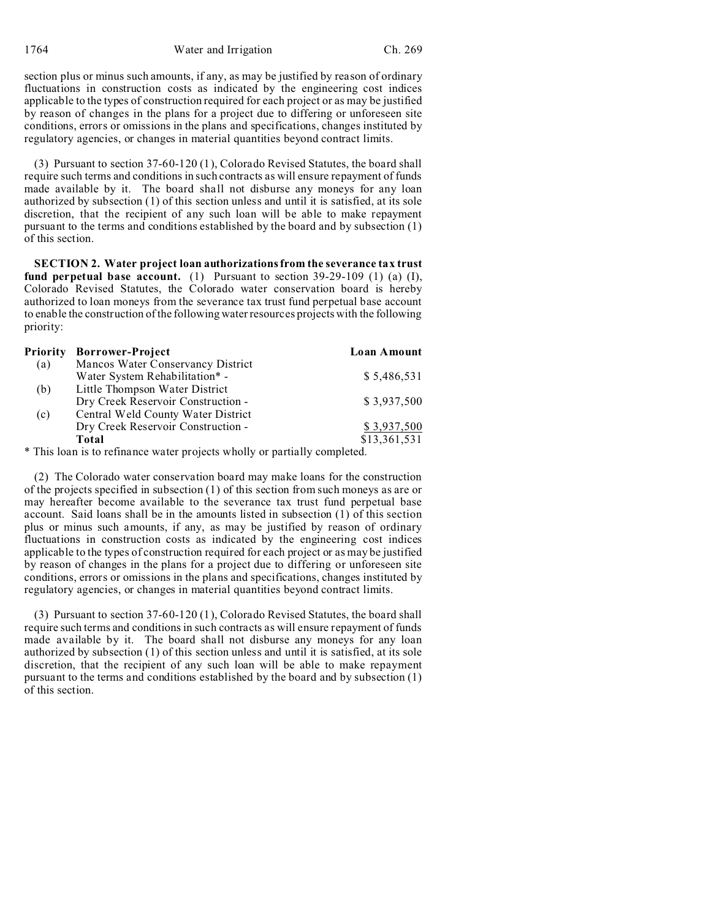1764 Water and Irrigation Ch. 269

section plus or minus such amounts, if any, as may be justified by reason of ordinary fluctuations in construction costs as indicated by the engineering cost indices applicable to the types of construction required for each project or as may be justified by reason of changes in the plans for a project due to differing or unforeseen site conditions, errors or omissions in the plans and specifications, changes instituted by regulatory agencies, or changes in material quantities beyond contract limits.

(3) Pursuant to section 37-60-120 (1), Colorado Revised Statutes, the board shall require such terms and conditions in such contracts as will ensure repayment of funds made available by it. The board shall not disburse any moneys for any loan authorized by subsection (1) of this section unless and until it is satisfied, at its sole discretion, that the recipient of any such loan will be able to make repayment pursuant to the terms and conditions established by the board and by subsection (1) of this section.

**SECTION 2. Water project loan authorizations from the severance tax trust fund perpetual base account.** (1) Pursuant to section 39-29-109 (1) (a) (I), Colorado Revised Statutes, the Colorado water conservation board is hereby authorized to loan moneys from the severance tax trust fund perpetual base account to enable the construction of the following water resources projects with the following priority:

| <b>Priority</b> | <b>Borrower-Project</b>            | Loan Amount  |
|-----------------|------------------------------------|--------------|
| (a)             | Mancos Water Conservancy District  |              |
|                 | Water System Rehabilitation* -     | \$5,486,531  |
| (b)             | Little Thompson Water District     |              |
|                 | Dry Creek Reservoir Construction - | \$3,937,500  |
| (c)             | Central Weld County Water District |              |
|                 | Dry Creek Reservoir Construction - | \$3,937,500  |
|                 | Total                              | \$13,361,531 |

\* This loan is to refinance water projects wholly or partially completed.

(2) The Colorado water conservation board may make loans for the construction of the projects specified in subsection (1) of this section from such moneys as are or may hereafter become available to the severance tax trust fund perpetual base account. Said loans shall be in the amounts listed in subsection (1) of this section plus or minus such amounts, if any, as may be justified by reason of ordinary fluctuations in construction costs as indicated by the engineering cost indices applicable to the types of construction required for each project or as may be justified by reason of changes in the plans for a project due to differing or unforeseen site conditions, errors or omissions in the plans and specifications, changes instituted by regulatory agencies, or changes in material quantities beyond contract limits.

(3) Pursuant to section 37-60-120 (1), Colorado Revised Statutes, the board shall require such terms and conditions in such contracts as will ensure repayment of funds made available by it. The board shall not disburse any moneys for any loan authorized by subsection (1) of this section unless and until it is satisfied, at its sole discretion, that the recipient of any such loan will be able to make repayment pursuant to the terms and conditions established by the board and by subsection (1) of this section.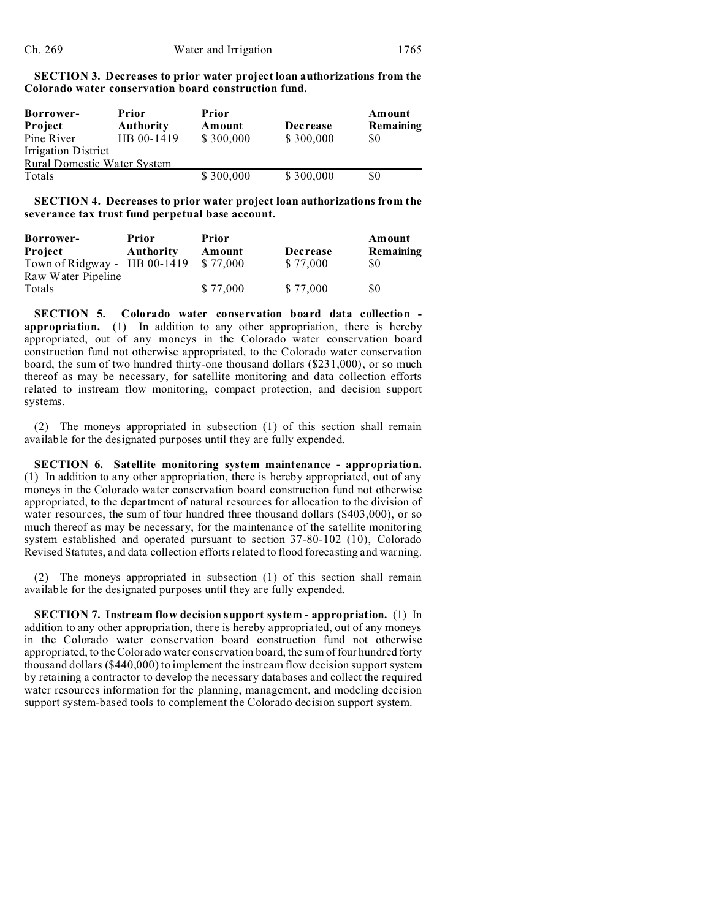| <b>SECTION 3. Decreases to prior water project loan authorizations from the</b> |  |
|---------------------------------------------------------------------------------|--|
| Colorado water conservation board construction fund.                            |  |

| <b>Borrower-</b>                   | Prior            | Prior     |                 | Amount    |  |
|------------------------------------|------------------|-----------|-----------------|-----------|--|
| Project                            | <b>Authority</b> | Amount    | <b>Decrease</b> | Remaining |  |
| Pine River                         | HB 00-1419       | \$300,000 | \$300,000       | \$0       |  |
| <b>Irrigation District</b>         |                  |           |                 |           |  |
| <b>Rural Domestic Water System</b> |                  |           |                 |           |  |
| Totals                             |                  | \$300,000 | \$300,000       | \$0       |  |

**SECTION 4. Decreases to prior water project loan authorizations from the severance tax trust fund perpetual base account.**

| Borrower-                    | Prior            | Prior    |          | Amount    |
|------------------------------|------------------|----------|----------|-----------|
| Project                      | <b>Authority</b> | Amount   | Decrease | Remaining |
| Town of Ridgway - HB 00-1419 |                  | \$77,000 | \$77,000 | S0        |
| Raw Water Pipeline           |                  |          |          |           |
| Totals                       |                  | \$77,000 | \$77,000 | S0        |

**SECTION 5. Colorado water conservation board data collection appropriation.** (1) In addition to any other appropriation, there is hereby appropriated, out of any moneys in the Colorado water conservation board construction fund not otherwise appropriated, to the Colorado water conservation board, the sum of two hundred thirty-one thousand dollars (\$231,000), or so much thereof as may be necessary, for satellite monitoring and data collection efforts related to instream flow monitoring, compact protection, and decision support systems.

(2) The moneys appropriated in subsection (1) of this section shall remain available for the designated purposes until they are fully expended.

**SECTION 6. Satellite monitoring system maintenance - appropriation.** (1) In addition to any other appropriation, there is hereby appropriated, out of any moneys in the Colorado water conservation board construction fund not otherwise appropriated, to the department of natural resources for allocation to the division of water resources, the sum of four hundred three thousand dollars (\$403,000), or so much thereof as may be necessary, for the maintenance of the satellite monitoring system established and operated pursuant to section 37-80-102 (10), Colorado Revised Statutes, and data collection efforts related to flood forecasting and warning.

(2) The moneys appropriated in subsection (1) of this section shall remain available for the designated purposes until they are fully expended.

**SECTION 7. Instream flow decision support system - appropriation.** (1) In addition to any other appropriation, there is hereby appropriated, out of any moneys in the Colorado water conservation board construction fund not otherwise appropriated, to the Colorado water conservation board, the sum of four hundred forty thousand dollars (\$440,000) to implement the instream flow decision support system by retaining a contractor to develop the necessary databases and collect the required water resources information for the planning, management, and modeling decision support system-based tools to complement the Colorado decision support system.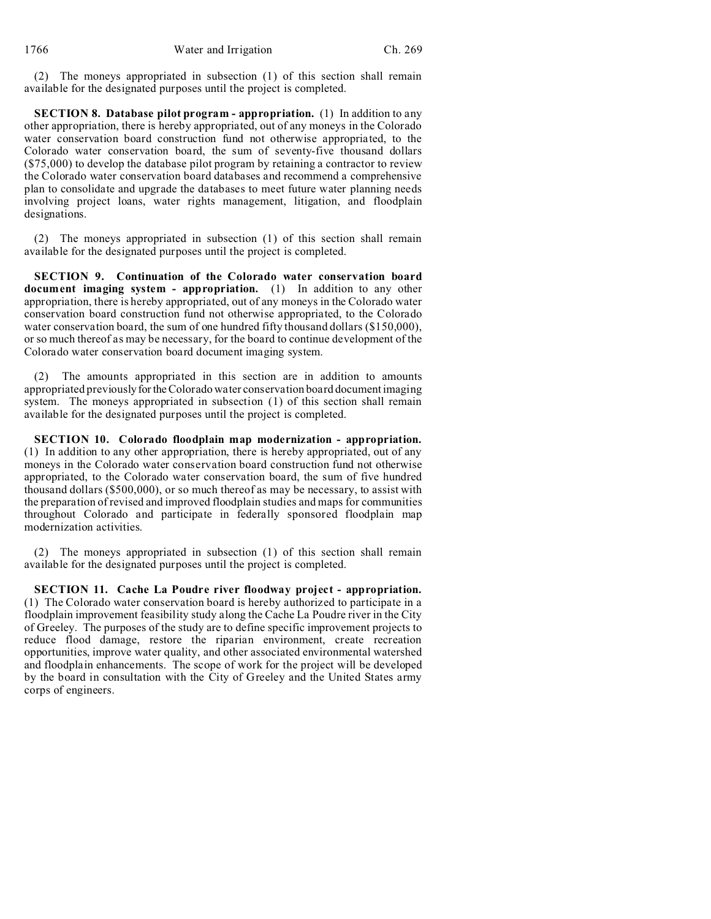(2) The moneys appropriated in subsection (1) of this section shall remain available for the designated purposes until the project is completed.

**SECTION 8. Database pilot program - appropriation.** (1) In addition to any other appropriation, there is hereby appropriated, out of any moneys in the Colorado water conservation board construction fund not otherwise appropriated, to the Colorado water conservation board, the sum of seventy-five thousand dollars (\$75,000) to develop the database pilot program by retaining a contractor to review the Colorado water conservation board databases and recommend a comprehensive plan to consolidate and upgrade the databases to meet future water planning needs involving project loans, water rights management, litigation, and floodplain designations.

(2) The moneys appropriated in subsection (1) of this section shall remain available for the designated purposes until the project is completed.

**SECTION 9. Continuation of the Colorado water conservation board document imaging system - appropriation.** (1) In addition to any other appropriation, there is hereby appropriated, out of any moneys in the Colorado water conservation board construction fund not otherwise appropriated, to the Colorado water conservation board, the sum of one hundred fifty thousand dollars (\$150,000), or so much thereof as may be necessary, for the board to continue development of the Colorado water conservation board document imaging system.

(2) The amounts appropriated in this section are in addition to amounts appropriated previously forthe Colorado water conservation board document imaging system. The moneys appropriated in subsection (1) of this section shall remain available for the designated purposes until the project is completed.

**SECTION 10. Colorado floodplain map modernization - appropriation.** (1) In addition to any other appropriation, there is hereby appropriated, out of any moneys in the Colorado water conservation board construction fund not otherwise appropriated, to the Colorado water conservation board, the sum of five hundred thousand dollars (\$500,000), or so much thereof as may be necessary, to assist with the preparation of revised and improved floodplain studies and maps for communities throughout Colorado and participate in federally sponsored floodplain map modernization activities.

(2) The moneys appropriated in subsection (1) of this section shall remain available for the designated purposes until the project is completed.

**SECTION 11. Cache La Poudre river floodway project - appropriation.** (1) The Colorado water conservation board is hereby authorized to participate in a floodplain improvement feasibility study along the Cache La Poudre river in the City of Greeley. The purposes of the study are to define specific improvement projects to reduce flood damage, restore the riparian environment, create recreation opportunities, improve water quality, and other associated environmental watershed and floodplain enhancements. The scope of work for the project will be developed by the board in consultation with the City of Greeley and the United States army corps of engineers.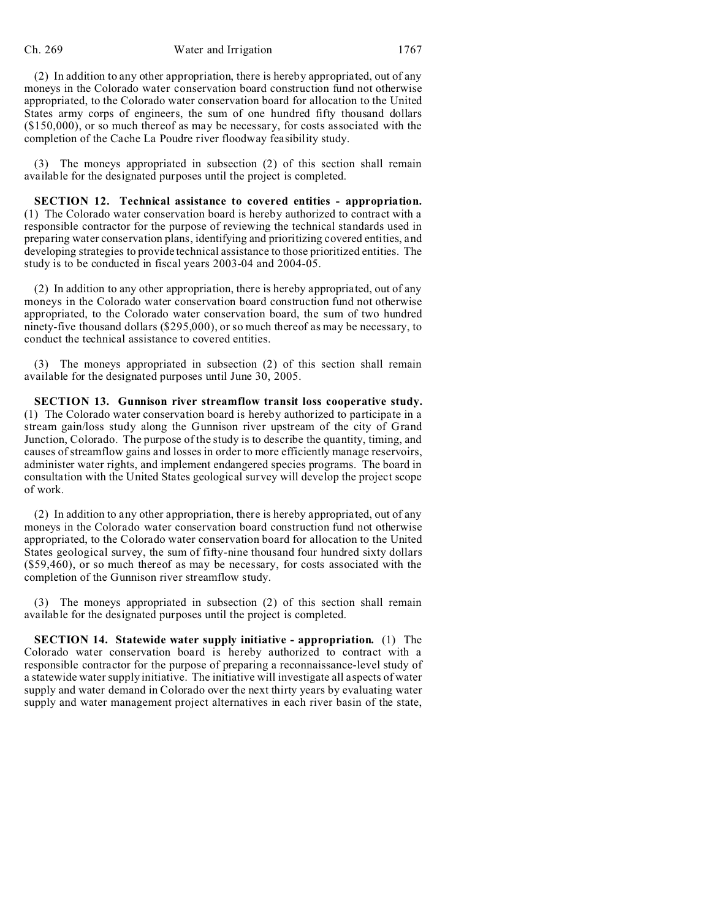(2) In addition to any other appropriation, there is hereby appropriated, out of any moneys in the Colorado water conservation board construction fund not otherwise appropriated, to the Colorado water conservation board for allocation to the United States army corps of engineers, the sum of one hundred fifty thousand dollars (\$150,000), or so much thereof as may be necessary, for costs associated with the completion of the Cache La Poudre river floodway feasibility study.

(3) The moneys appropriated in subsection (2) of this section shall remain available for the designated purposes until the project is completed.

**SECTION 12. Technical assistance to covered entities - appropriation.** (1) The Colorado water conservation board is hereby authorized to contract with a responsible contractor for the purpose of reviewing the technical standards used in preparing water conservation plans, identifying and prioritizing covered entities, and developing strategies to provide technical assistance to those prioritized entities. The study is to be conducted in fiscal years 2003-04 and 2004-05.

(2) In addition to any other appropriation, there is hereby appropriated, out of any moneys in the Colorado water conservation board construction fund not otherwise appropriated, to the Colorado water conservation board, the sum of two hundred ninety-five thousand dollars (\$295,000), or so much thereof as may be necessary, to conduct the technical assistance to covered entities.

(3) The moneys appropriated in subsection (2) of this section shall remain available for the designated purposes until June 30, 2005.

**SECTION 13. Gunnison river streamflow transit loss cooperative study.** (1) The Colorado water conservation board is hereby authorized to participate in a stream gain/loss study along the Gunnison river upstream of the city of Grand Junction, Colorado. The purpose of the study is to describe the quantity, timing, and causes of streamflow gains and losses in order to more efficiently manage reservoirs, administer water rights, and implement endangered species programs. The board in consultation with the United States geological survey will develop the project scope of work.

(2) In addition to any other appropriation, there is hereby appropriated, out of any moneys in the Colorado water conservation board construction fund not otherwise appropriated, to the Colorado water conservation board for allocation to the United States geological survey, the sum of fifty-nine thousand four hundred sixty dollars (\$59,460), or so much thereof as may be necessary, for costs associated with the completion of the Gunnison river streamflow study.

(3) The moneys appropriated in subsection (2) of this section shall remain available for the designated purposes until the project is completed.

**SECTION 14. Statewide water supply initiative - appropriation.** (1) The Colorado water conservation board is hereby authorized to contract with a responsible contractor for the purpose of preparing a reconnaissance-level study of a statewide water supply initiative. The initiative will investigate all aspects of water supply and water demand in Colorado over the next thirty years by evaluating water supply and water management project alternatives in each river basin of the state,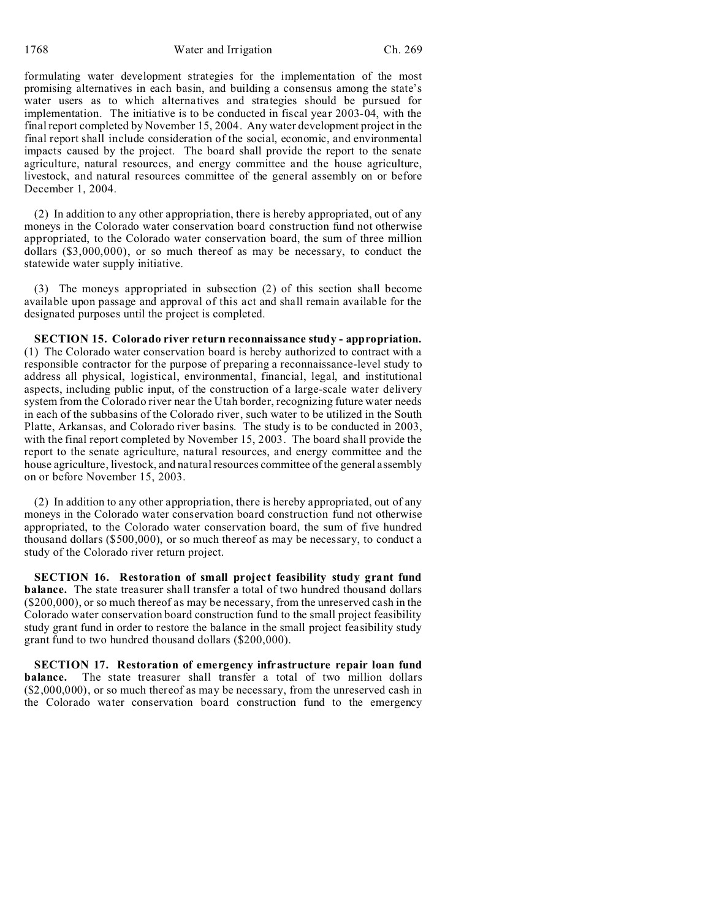1768 Water and Irrigation Ch. 269

formulating water development strategies for the implementation of the most promising alternatives in each basin, and building a consensus among the state's water users as to which alternatives and strategies should be pursued for implementation. The initiative is to be conducted in fiscal year 2003-04, with the final report completed by November 15, 2004. Any water development project in the final report shall include consideration of the social, economic, and environmental impacts caused by the project. The board shall provide the report to the senate agriculture, natural resources, and energy committee and the house agriculture, livestock, and natural resources committee of the general assembly on or before December 1, 2004.

(2) In addition to any other appropriation, there is hereby appropriated, out of any moneys in the Colorado water conservation board construction fund not otherwise appropriated, to the Colorado water conservation board, the sum of three million dollars (\$3,000,000), or so much thereof as may be necessary, to conduct the statewide water supply initiative.

(3) The moneys appropriated in subsection (2) of this section shall become available upon passage and approval of this act and shall remain available for the designated purposes until the project is completed.

**SECTION 15. Colorado river return reconnaissance study - appropriation.** (1) The Colorado water conservation board is hereby authorized to contract with a responsible contractor for the purpose of preparing a reconnaissance-level study to address all physical, logistical, environmental, financial, legal, and institutional aspects, including public input, of the construction of a large-scale water delivery system from the Colorado river near the Utah border, recognizing future water needs in each of the subbasins of the Colorado river, such water to be utilized in the South Platte, Arkansas, and Colorado river basins. The study is to be conducted in 2003, with the final report completed by November 15, 2003. The board shall provide the report to the senate agriculture, natural resources, and energy committee and the house agriculture, livestock, and natural resources committee of the general assembly on or before November 15, 2003.

(2) In addition to any other appropriation, there is hereby appropriated, out of any moneys in the Colorado water conservation board construction fund not otherwise appropriated, to the Colorado water conservation board, the sum of five hundred thousand dollars (\$500,000), or so much thereof as may be necessary, to conduct a study of the Colorado river return project.

**SECTION 16. Restoration of small project feasibility study grant fund balance.** The state treasurer shall transfer a total of two hundred thousand dollars (\$200,000), or so much thereof as may be necessary, from the unreserved cash in the Colorado water conservation board construction fund to the small project feasibility study grant fund in order to restore the balance in the small project feasibility study grant fund to two hundred thousand dollars (\$200,000).

**SECTION 17. Restoration of emergency infrastructure repair loan fund balance.** The state treasurer shall transfer a total of two million dollars (\$2,000,000), or so much thereof as may be necessary, from the unreserved cash in the Colorado water conservation board construction fund to the emergency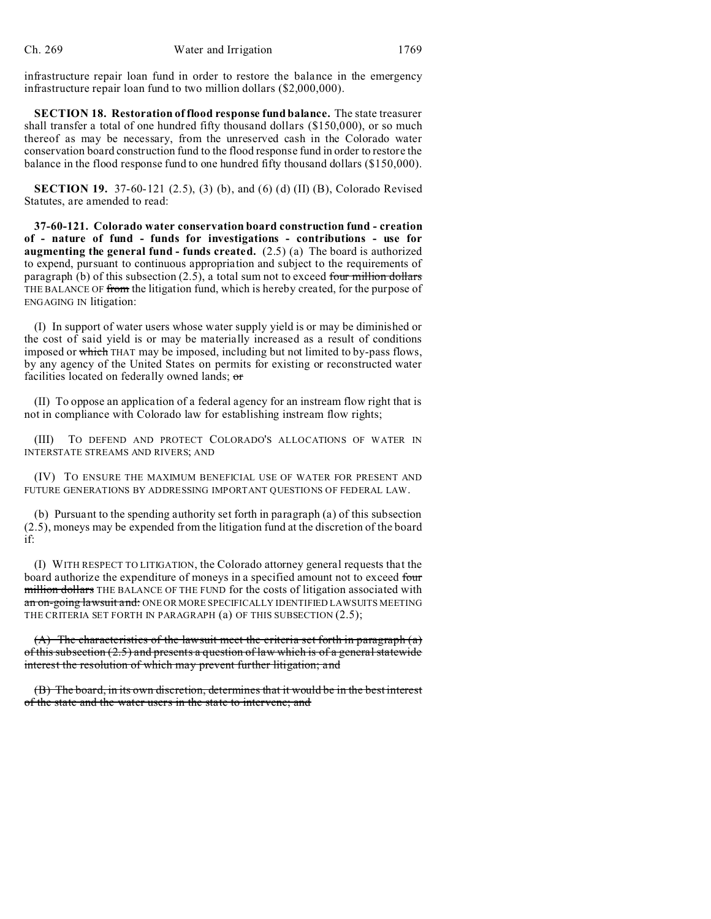infrastructure repair loan fund in order to restore the balance in the emergency infrastructure repair loan fund to two million dollars (\$2,000,000).

**SECTION 18. Restoration of flood response fund balance.** The state treasurer shall transfer a total of one hundred fifty thousand dollars (\$150,000), or so much thereof as may be necessary, from the unreserved cash in the Colorado water conservation board construction fund to the flood response fund in order to restore the balance in the flood response fund to one hundred fifty thousand dollars (\$150,000).

**SECTION 19.** 37-60-121 (2.5), (3) (b), and (6) (d) (II) (B), Colorado Revised Statutes, are amended to read:

**37-60-121. Colorado water conservation board construction fund - creation of - nature of fund - funds for investigations - contributions - use for augmenting the general fund - funds created.** (2.5) (a) The board is authorized to expend, pursuant to continuous appropriation and subject to the requirements of paragraph (b) of this subsection  $(2.5)$ , a total sum not to exceed four million dollars THE BALANCE OF from the litigation fund, which is hereby created, for the purpose of ENGAGING IN litigation:

(I) In support of water users whose water supply yield is or may be diminished or the cost of said yield is or may be materially increased as a result of conditions imposed or which THAT may be imposed, including but not limited to by-pass flows, by any agency of the United States on permits for existing or reconstructed water facilities located on federally owned lands; or

(II) To oppose an application of a federal agency for an instream flow right that is not in compliance with Colorado law for establishing instream flow rights;

(III) TO DEFEND AND PROTECT COLORADO'S ALLOCATIONS OF WATER IN INTERSTATE STREAMS AND RIVERS; AND

(IV) TO ENSURE THE MAXIMUM BENEFICIAL USE OF WATER FOR PRESENT AND FUTURE GENERATIONS BY ADDRESSING IMPORTANT QUESTIONS OF FEDERAL LAW.

(b) Pursuant to the spending authority set forth in paragraph (a) of this subsection (2.5), moneys may be expended from the litigation fund at the discretion of the board if:

(I) WITH RESPECT TO LITIGATION, the Colorado attorney general requests that the board authorize the expenditure of moneys in a specified amount not to exceed four million dollars THE BALANCE OF THE FUND for the costs of litigation associated with an on-going lawsuit and: ONE OR MORE SPECIFICALLY IDENTIFIED LAWSUITS MEETING THE CRITERIA SET FORTH IN PARAGRAPH (a) OF THIS SUBSECTION (2.5);

(A) The characteristics of the lawsuit meet the criteria set forth in paragraph  $(a)$ of this subsection (2.5) and presents a question of law which is of a general statewide interest the resolution of which may prevent further litigation; and

(B) The board, in its own discretion, determines that it would be in the best interest of the state and the water users in the state to intervene; and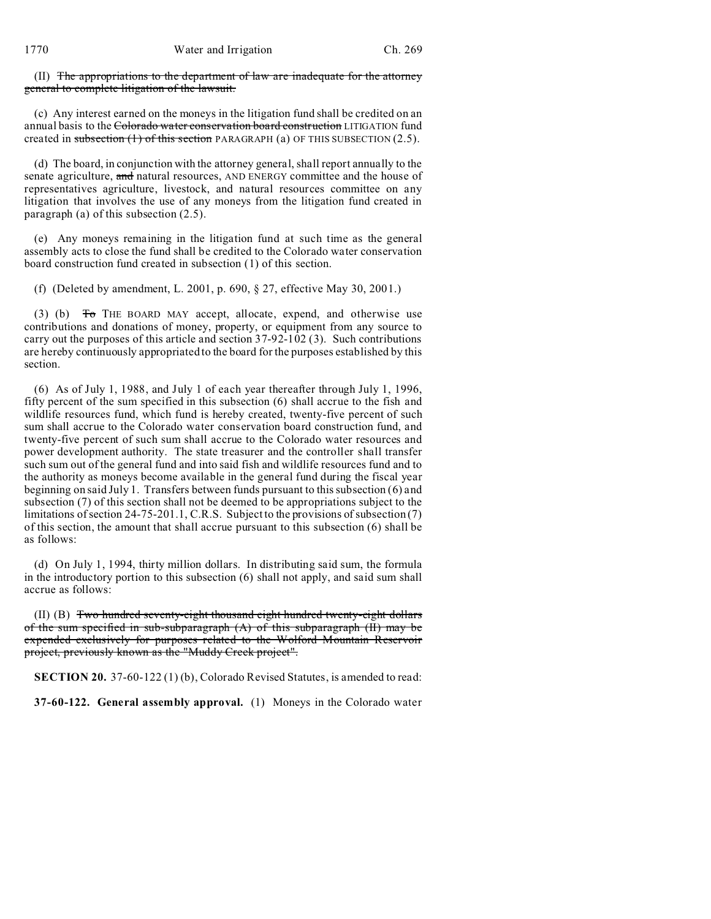(II) The appropriations to the department of law are inadequate for the attorney general to complete litigation of the lawsuit.

(c) Any interest earned on the moneys in the litigation fund shall be credited on an annual basis to the Colorado water conservation board construction LITIGATION fund created in subsection  $(1)$  of this section PARAGRAPH (a) OF THIS SUBSECTION (2.5).

(d) The board, in conjunction with the attorney general, shall report annually to the senate agriculture, and natural resources, AND ENERGY committee and the house of representatives agriculture, livestock, and natural resources committee on any litigation that involves the use of any moneys from the litigation fund created in paragraph (a) of this subsection (2.5).

(e) Any moneys remaining in the litigation fund at such time as the general assembly acts to close the fund shall be credited to the Colorado water conservation board construction fund created in subsection (1) of this section.

(f) (Deleted by amendment, L. 2001, p. 690, § 27, effective May 30, 2001.)

(3) (b)  $\overline{0}$  THE BOARD MAY accept, allocate, expend, and otherwise use contributions and donations of money, property, or equipment from any source to carry out the purposes of this article and section 37-92-102 (3). Such contributions are hereby continuously appropriated to the board for the purposes established by this section.

(6) As of July 1, 1988, and July 1 of each year thereafter through July 1, 1996, fifty percent of the sum specified in this subsection (6) shall accrue to the fish and wildlife resources fund, which fund is hereby created, twenty-five percent of such sum shall accrue to the Colorado water conservation board construction fund, and twenty-five percent of such sum shall accrue to the Colorado water resources and power development authority. The state treasurer and the controller shall transfer such sum out of the general fund and into said fish and wildlife resources fund and to the authority as moneys become available in the general fund during the fiscal year beginning on said July 1. Transfers between funds pursuant to this subsection (6) and subsection (7) of this section shall not be deemed to be appropriations subject to the limitations of section 24-75-201.1, C.R.S. Subject to the provisions of subsection (7) of this section, the amount that shall accrue pursuant to this subsection (6) shall be as follows:

(d) On July 1, 1994, thirty million dollars. In distributing said sum, the formula in the introductory portion to this subsection (6) shall not apply, and said sum shall accrue as follows:

(II) (B) Two hundred seventy-eight thousand eight hundred twenty-eight dollars of the sum specified in sub-subparagraph  $(A)$  of this subparagraph  $(H)$  may be expended exclusively for purposes related to the Wolford Mountain Reservoir project, previously known as the "Muddy Creek project".

**SECTION 20.** 37-60-122 (1) (b), Colorado Revised Statutes, is amended to read:

**37-60-122. General assembly approval.** (1) Moneys in the Colorado water